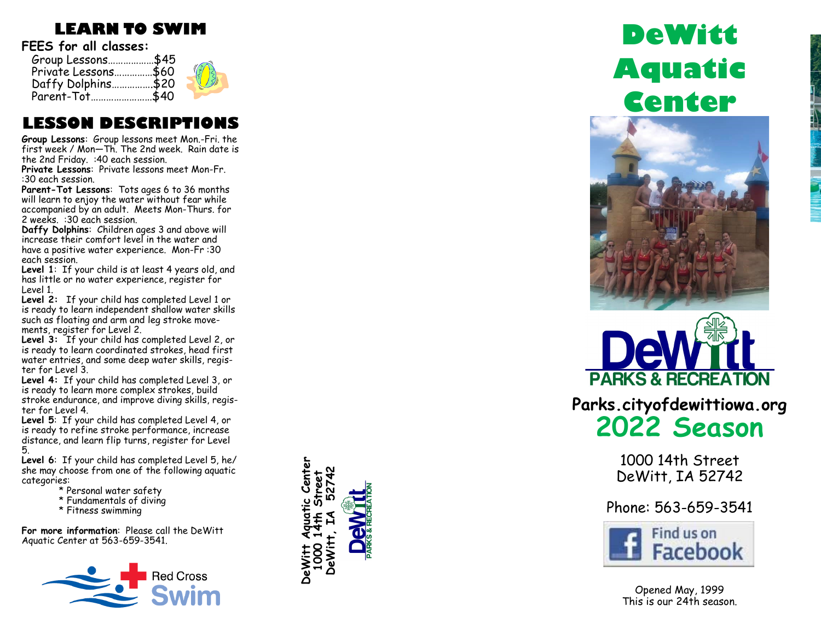### **LEARN TO SWIM**

**FEES for all classes:**

| Group Lessons\$45   |  |
|---------------------|--|
| Private Lessons\$60 |  |
| Daffy Dolphins\$20  |  |
| Parent-Tot\$40      |  |

### **LESSON DESCRIPTIONS**

**Group Lessons**: Group lessons meet Mon. -Fri. the first week / Mon —Th. The 2nd week. Rain date is the 2nd Friday. :40 each session.

**Private Lessons**: Private lessons meet Mon -Fr. :30 each session.

**Parent -Tot Lessons**: Tots ages 6 to 36 months will learn to enjoy the water without fear while accompanied by an adult. Meets Mon -Thurs. for 2 weeks. :30 each session.

**Daffy Dolphins**: Children ages 3 and above will increase their comfort level in the water and have a positive water experience. Mon -Fr :30 each session.

**Level 1**: If your child is at least 4 years old, and has little or no water experience, register for Level 1.

**Level 2:** If your child has completed Level 1 or is ready to learn independent shallow water skills such as floating and arm and leg stroke movements, register for Level 2.

**Level 3:** If your child has completed Level 2, or is ready to learn coordinated strokes, head first water entries, and some deep water skills, register for Level 3.

**Level 4:** If your child has completed Level 3, or is ready to learn more complex strokes, build stroke endurance, and improve diving skills, register for Level 4.

**Level 5**: If your child has completed Level 4, or is ready to refine stroke performance, increase distance, and learn flip turns, register for Level 5.

**Level 6**: If your child has completed Level 5, he/ she may choose from one of the following aquatic categories:

- \* Personal water safety
- \* Fundamentals of diving
- \* Fitness swimming

**For more information**: Please call the DeWitt Aquatic Center at 563 -659 -3541.





# **DeWitt Aquatic Center**





1000 14th Street DeWitt, IA 52742

Phone: 563 -659 -3541



Opened May, 1999 This is our 24th season.